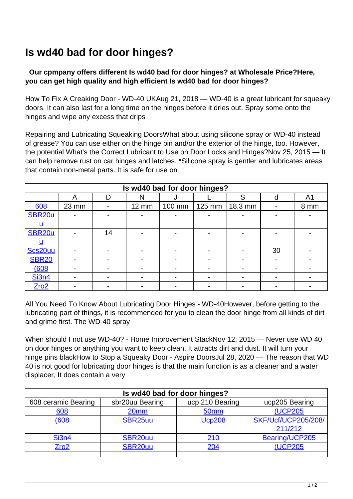## **Is wd40 bad for door hinges?**

## **Our cpmpany offers different Is wd40 bad for door hinges? at Wholesale Price?Here, you can get high quality and high efficient Is wd40 bad for door hinges?**

How To Fix A Creaking Door - WD-40 UKAug 21, 2018 — WD-40 is a great lubricant for squeaky doors. It can also last for a long time on the hinges before it dries out. Spray some onto the hinges and wipe any excess that drips

Repairing and Lubricating Squeaking DoorsWhat about using silicone spray or WD-40 instead of grease? You can use either on the hinge pin and/or the exterior of the hinge, too. However, the potential What's the Correct Lubricant to Use on Door Locks and Hinges?Nov 25, 2015 — It can help remove rust on car hinges and latches. \*Silicone spray is gentler and lubricates areas that contain non-metal parts. It is safe for use on

| Is wd40 bad for door hinges? |                          |                          |              |                          |                          |         |    |                |  |  |
|------------------------------|--------------------------|--------------------------|--------------|--------------------------|--------------------------|---------|----|----------------|--|--|
|                              | А                        | D                        | N            |                          |                          | S       | d  | A <sub>1</sub> |  |  |
| 608                          | 23 mm                    |                          | <b>12 mm</b> | 100 mm                   | 125 mm                   | 18.3 mm |    | 8 mm           |  |  |
| SBR <sub>20u</sub>           |                          |                          |              |                          |                          |         |    |                |  |  |
| u                            |                          |                          |              |                          |                          |         |    |                |  |  |
| <b>SBR20u</b>                |                          | 14                       |              |                          |                          |         |    |                |  |  |
| u                            |                          |                          |              |                          |                          |         |    |                |  |  |
| Scs20uu                      |                          | $\overline{\phantom{0}}$ |              |                          |                          |         | 30 |                |  |  |
| <b>SBR20</b>                 |                          |                          |              |                          |                          |         |    |                |  |  |
| 608                          |                          |                          |              |                          | $\overline{\phantom{0}}$ |         |    |                |  |  |
| <b>Si3n4</b>                 | $\overline{\phantom{0}}$ | $\overline{\phantom{0}}$ |              | $\overline{\phantom{0}}$ | $\blacksquare$           |         |    |                |  |  |
| Zro2                         |                          |                          |              |                          |                          |         |    |                |  |  |

All You Need To Know About Lubricating Door Hinges - WD-40However, before getting to the lubricating part of things, it is recommended for you to clean the door hinge from all kinds of dirt and grime first. The WD-40 spray

When should I not use WD-40? - Home Improvement StackNov 12, 2015 — Never use WD 40 on door hinges or anything you want to keep clean. It attracts dirt and dust. It will turn your hinge pins blackHow to Stop a Squeaky Door - Aspire DoorsJul 28, 2020 — The reason that WD 40 is not good for lubricating door hinges is that the main function is as a cleaner and a water displacer, It does contain a very

| Is wd40 bad for door hinges? |                     |                  |                            |  |  |  |  |  |
|------------------------------|---------------------|------------------|----------------------------|--|--|--|--|--|
| 608 ceramic Bearing          | sbr20uu Bearing     | ucp 210 Bearing  | ucp205 Bearing             |  |  |  |  |  |
| 608                          | 20 <sub>mm</sub>    | 50 <sub>mm</sub> | <b>(UCP205)</b>            |  |  |  |  |  |
| 608(                         | SBR <sub>25uu</sub> | <b>Ucp208</b>    | <b>SKF/Ucf/UCP205/208/</b> |  |  |  |  |  |
|                              |                     |                  | 211/212                    |  |  |  |  |  |
| <b>Si3n4</b>                 | SBR <sub>20uu</sub> | <u>210</u>       | Bearing/UCP205             |  |  |  |  |  |
| $Z$ ro $2$                   | SBR <sub>20uu</sub> | 204              | (UCP205                    |  |  |  |  |  |
|                              |                     |                  |                            |  |  |  |  |  |